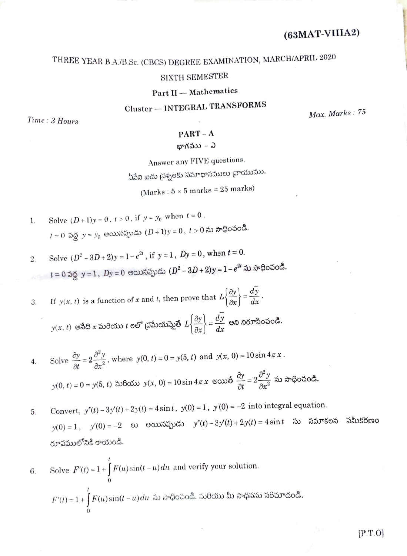# THREE YEAR B.A./B.Sc. (CBCS) DEGREE EXAMINATION, MARCH/APRIL 2020

# SIXTH SEMESTER

Part II - Mathematics

Cluster - INTEGRAL TRANSFORMS

 $Time: 3 Hours$ 

Max. Marks: 75

## $PART - A$

భాగవుు – ఎ

Answer any FIVE questions.

ఏపేని ఐదు చ్రశ్నలకు సమాధానములు చ్రాయుము.

(Marks:  $5 \times 5$  marks = 25 marks)

- Solve  $(D+1)y = 0$ ,  $t > 0$ , if  $y = y_0$  when  $t = 0$ . 1.  $t=0$  వద్ద  $y=y_0$  అయినప్పుడు  $(D+1)y=0$ ,  $t>0$  ను సాధించండి.
- Solve  $(D^2 3D + 2)y = 1 e^{2t}$ , if  $y = 1$ ,  $Dy = 0$ , when  $t = 0$ .  $2.$  $t = 0$  పద్ద  $y = 1$ ,  $Dy = 0$  అయినప్పుడు  $(D^2 - 3D + 2)y = 1 - e^{2t}$  ను సాధించండి.

If  $y(x, t)$  is a function of x and t, then prove that  $L\left\{\frac{\partial y}{\partial x}\right\} = \frac{d\overline{y}}{dx}$ . 3.  $y(x, t)$  అసేది x మరియు t లలో ప్రమేయమైతే  $L\left\{\frac{\partial y}{\partial x}\right\} = \frac{d\overline{y}}{dx}$  అని నిరూపించండి.

- Solve  $\frac{\partial y}{\partial t} = 2 \frac{\partial^2 y}{\partial x^2}$ , where  $y(0, t) = 0 = y(5, t)$  and  $y(x, 0) = 10 \sin 4\pi x$ .  $\overline{4}$ .  $y(0, t) = 0 = \dot{y}(5, t)$  మరియు  $y(x, 0) = 10 \sin 4\pi x$  అయితే  $\frac{\partial y}{\partial t} = 2 \frac{\partial^2 y}{\partial x^2}$  ను సాధించండి.
- Convert,  $y''(t) 3y'(t) + 2y(t) = 4 \sin t$ ,  $y(0) = 1$ ,  $y'(0) = -2$  into integral equation. 5.  $y(0) = 1$ ,  $y'(0) = -2$  లు అయినప్పుడు  $y''(t) - 3y'(t) + 2y(t) = 4 \sin t$  ను సమాకలన సమీకరణం రూపములోనికి రాయండి.

6. Solve 
$$
F'(t) = 1 + \int_{0}^{t} F(u) \sin(t - u) du
$$
 and verify your solution.  

$$
F'(t) = 1 + \int_{0}^{t} F(u) \sin(t - u) du \text{ as } \partial^{\alpha}\Phi \text{ of } \partial^{\beta} \text{ and } \partial^{\beta} \Phi \text{ of } \partial^{\beta} \text{ and } \partial^{\beta} \Phi \text{ of } \partial^{\beta} \text{ of } \partial^{\beta} \text{ of } \partial^{\beta} \text{ of } \partial^{\beta} \text{ of } \partial^{\beta} \text{ of } \partial^{\beta} \text{ of } \partial^{\beta} \text{ of } \partial^{\beta} \text{ of } \partial^{\beta} \text{ of } \partial^{\beta} \text{ of } \partial^{\beta} \text{ of } \partial^{\beta} \text{ of } \partial^{\beta} \text{ of } \partial^{\beta} \text{ of } \partial^{\beta} \text{ of } \partial^{\beta} \text{ of } \partial^{\beta} \text{ of } \partial^{\beta} \text{ of } \partial^{\beta} \text{ of } \partial^{\beta} \text{ of } \partial^{\beta} \text{ of } \partial^{\beta} \text{ of } \partial^{\beta} \text{ of } \partial^{\beta} \text{ of } \partial^{\beta} \text{ of } \partial^{\beta} \text{ of } \partial^{\beta} \text{ of } \partial^{\beta} \text{ of } \partial^{\beta} \text{ of } \partial^{\beta} \text{ of } \partial^{\beta} \text{ of } \partial^{\beta} \text{ of } \partial^{\beta} \text{ of } \partial^{\beta} \text{ of } \partial^{\beta} \text{ of } \partial^{\beta} \text{ of } \partial^{\beta} \text{ of } \partial^{\beta} \text{ of } \partial^{\beta} \text{ of } \partial^{\beta} \text{ of } \partial^{\beta} \text{ of } \partial^{\beta} \text{ of } \partial^{\beta} \text{ of } \partial^{\beta} \text{ of } \partial^{\beta} \text{ of } \partial^{\beta} \text{ of } \partial^{\beta} \text{ of } \partial^{\beta} \text{ of } \partial^{\beta} \text{ of } \partial^{\beta} \text{ of } \partial^{\beta} \text{ of } \partial^{\beta} \text{ of } \partial^{\beta} \text{ of } \partial^{\beta} \text{ of } \partial^{\beta} \text{ of } \partial^{\beta} \text{ of } \partial^{\beta} \text{ of } \
$$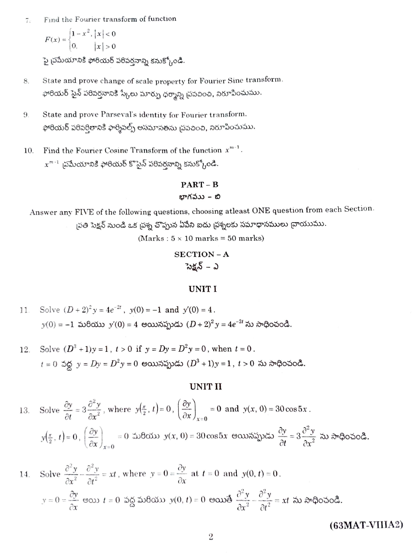Find the Fourier transform of function  $7.$ 

$$
F(x) = \begin{cases} 1 - x^2, |x| < 0 \\ 0, |x| > 0 \end{cases}
$$

పై చ్రమేయానికి ఫోరియర్ పరివర్తనాన్ని కనుక్కోండి.

- State and prove change of scale property for Fourier Sine transform. 8. ఫోరియర్ సైన్ పరివర్తనానికి స్కేలు మార్పు ధర్మాన్ని ప్రవచించి, నిరూపించుము.
- 9. State and prove Parseval's identity for Fourier transform. ఫోరియర్ పరివర్తితానికి ఫార్శివల్స్ అసమానతను చ్రవచించి, నిరూపించుము.
- Find the Fourier Cosine Transform of the function  $x^{m-1}$ . 10.  $x^{m-1}$  బ్రమేయానికి ఫోరియర్ కొసైన్ పరిపర్తనాన్ని కనుక్కోండి.

## $PART - B$ బాగవుు – బి

Answer any FIVE of the following questions, choosing atleast ONE question from each Section. ్రపతి సెక్షన్ నుండి ఒక <sub>l</sub>పశ్న చొప్పున ఏపేని ఐదు <sub>l</sub>పశ్నలకు సమాధానములు ద్రాయుము.

(Marks:  $5 \times 10$  marks = 50 marks)

# **SECTION-A** సెక్షన్ – ఎ

#### UNIT I

11. Solve 
$$
(D+2)^2 y = 4e^{-2t}
$$
,  $y(0) = -1$  and  $y'(0) = 4$ .  
 $y(0) = -1$   $y'(0) = 4$   $y'(0) = 4$   $(D+2)^2 y = 4e^{-2t}$   $y(0) = -1$ 

Solve  $(D^3 + 1)y = 1$ ,  $t > 0$  if  $y = Dy = D^2y = 0$ , when  $t = 0$ . 12.  $t = 0$  వద్ద  $y = Dy = D^2y = 0$  అయినప్పుడు  $(D^3 + 1)y = 1$ ,  $t > 0$  ను సాధించండి.

## **UNIT II**

13. Solve 
$$
\frac{\partial y}{\partial t} = 3 \frac{\partial^2 y}{\partial x^2}
$$
, where  $y(\frac{\pi}{2}, t) = 0$ ,  $(\frac{\partial y}{\partial x})_{x=0} = 0$  and  $y(x, 0) = 30 \cos 5x$ .  
 $y(\frac{\pi}{2}, t) = 0$ ,  $(\frac{\partial y}{\partial x})_{x=0} = 0$  and  $y(x, 0) = 30 \cos 5x$ .  
 $y(\frac{\pi}{2}, t) = 0$ ,  $(\frac{\partial y}{\partial x})_{x=0} = 0$  and  $y(x, 0) = 30 \cos 5x$ .

14. Solve 
$$
\frac{\partial^2 y}{\partial x^2} - \frac{\partial^2 y}{\partial t^2} = xt
$$
, where  $y = 0 = \frac{\partial y}{\partial x}$  at  $t = 0$  and  $y(0, t) = 0$ .  
\n $y = 0 = \frac{\partial y}{\partial x}$  eous  $t = 0$  sigs  $\frac{\partial y}{\partial x} = \frac{\partial y}{\partial x} + \frac{\partial y}{\partial x} = \frac{\partial^2 y}{\partial x^2} = xt$  so  $\frac{\partial^2 y}{\partial x^2} = xt$  so  $\frac{\partial^2 y}{\partial x^2} = xt$ 

 $(63<sub>MAT</sub>-VIIIA2)$